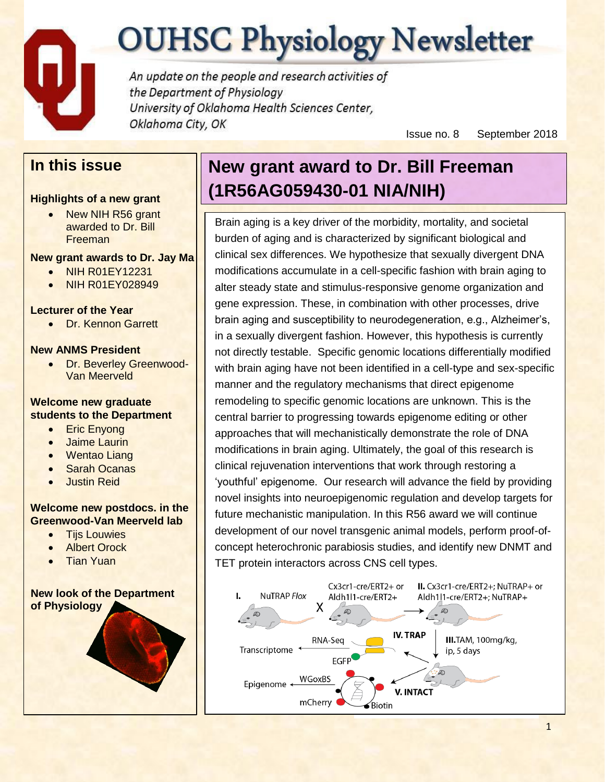## **OUHSC Physiology Newsletter**

An update on the people and research activities of the Department of Physiology University of Oklahoma Health Sciences Center, Oklahoma City, OK

Issue no. 8 September 2018

## **In this issue**

#### **Highlights of a new grant**

 New NIH R56 grant awarded to Dr. Bill **Freeman** 

#### **New grant awards to Dr. Jay Ma**

- NIH R01EY12231
- NIH R01EY028949

#### **Lecturer of the Year**

• Dr. Kennon Garrett

#### **New ANMS President**

**• Dr. Beverley Greenwood-**Van Meerveld

#### **Welcome new graduate students to the Department**

- Eric Enyong
- **.** Jaime Laurin
- Wentao Liang
- Sarah Ocanas
- Justin Reid

#### **Welcome new postdocs. in the Greenwood-Van Meerveld lab**

- **•** Tijs Louwies
- **•** Albert Orock
- Tian Yuan

#### **New look of the Department of Physiology**



## **New grant award to Dr. Bill Freeman (1R56AG059430-01 NIA/NIH)**

Brain aging is a key driver of the morbidity, mortality, and societal burden of aging and is characterized by significant biological and clinical sex differences. We hypothesize that sexually divergent DNA modifications accumulate in a cell-specific fashion with brain aging to alter steady state and stimulus-responsive genome organization and gene expression. These, in combination with other processes, drive brain aging and susceptibility to neurodegeneration, e.g., Alzheimer's, in a sexually divergent fashion. However, this hypothesis is currently not directly testable. Specific genomic locations differentially modified with brain aging have not been identified in a cell-type and sex-specific manner and the regulatory mechanisms that direct epigenome remodeling to specific genomic locations are unknown. This is the central barrier to progressing towards epigenome editing or other approaches that will mechanistically demonstrate the role of DNA modifications in brain aging. Ultimately, the goal of this research is clinical rejuvenation interventions that work through restoring a 'youthful' epigenome. Our research will advance the field by providing novel insights into neuroepigenomic regulation and develop targets for future mechanistic manipulation. In this R56 award we will continue development of our novel transgenic animal models, perform proof-ofconcept heterochronic parabiosis studies, and identify new DNMT and TET protein interactors across CNS cell types.

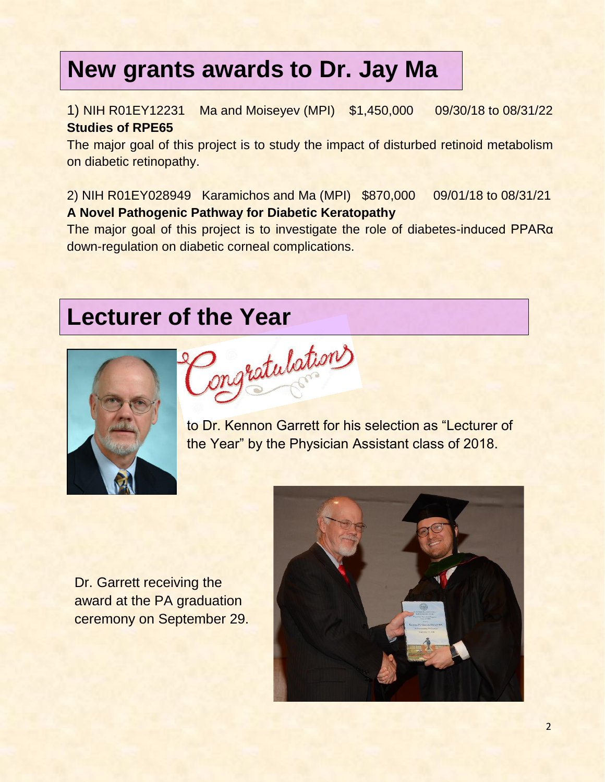## **New grants awards to Dr. Jay Ma**

1) NIH R01EY12231 Ma and Moiseyev (MPI) \$1,450,000 09/30/18 to 08/31/22 **Studies of RPE65**

The major goal of this project is to study the impact of disturbed retinoid metabolism on diabetic retinopathy.

2) NIH R01EY028949 Karamichos and Ma (MPI) \$870,000 09/01/18 to 08/31/21 **A Novel Pathogenic Pathway for Diabetic Keratopathy**

The major goal of this project is to investigate the role of diabetes-induced PPARα down-regulation on diabetic corneal complications.

## **Lecturer of the Year**



Ongratulations

to Dr. Kennon Garrett for his selection as "Lecturer of the Year" by the Physician Assistant class of 2018.

Dr. Garrett receiving the award at the PA graduation ceremony on September 29.

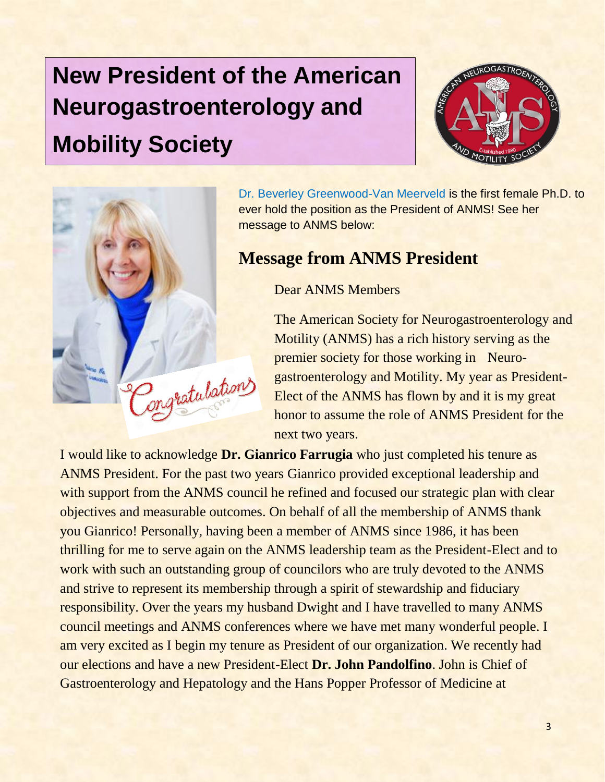## **New President of the American Neurogastroenterology and Mobility Society**





Dr. Beverley Greenwood-Van Meerveld is the first female Ph.D. to ever hold the position as the President of ANMS! See her message to ANMS below:

## **Message from ANMS President**

### Dear ANMS Members

The American Society for Neurogastroenterology and Motility (ANMS) has a rich history serving as the premier society for those working in Neurogastroenterology and Motility. My year as President-Elect of the ANMS has flown by and it is my great honor to assume the role of ANMS President for the next two years.

I would like to acknowledge **Dr. Gianrico Farrugia** who just completed his tenure as ANMS President. For the past two years Gianrico provided exceptional leadership and with support from the ANMS council he refined and focused our strategic plan with clear objectives and measurable outcomes. On behalf of all the membership of ANMS thank you Gianrico! Personally, having been a member of ANMS since 1986, it has been thrilling for me to serve again on the ANMS leadership team as the President-Elect and to work with such an outstanding group of councilors who are truly devoted to the ANMS and strive to represent its membership through a spirit of stewardship and fiduciary responsibility. Over the years my husband Dwight and I have travelled to many ANMS council meetings and ANMS conferences where we have met many wonderful people. I am very excited as I begin my tenure as President of our organization. We recently had our elections and have a new President-Elect **Dr. John Pandolfino**. John is Chief of Gastroenterology and Hepatology and the Hans Popper Professor of Medicine at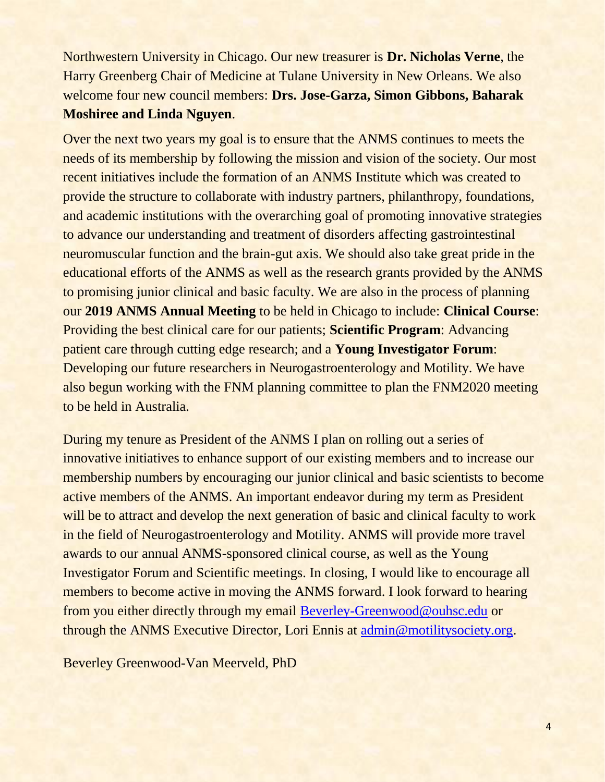Northwestern University in Chicago. Our new treasurer is **Dr. Nicholas Verne**, the Harry Greenberg Chair of Medicine at Tulane University in New Orleans. We also welcome four new council members: **Drs. Jose-Garza, Simon Gibbons, Baharak Moshiree and Linda Nguyen**.

Over the next two years my goal is to ensure that the ANMS continues to meets the needs of its membership by following the mission and vision of the society. Our most recent initiatives include the formation of an ANMS Institute which was created to provide the structure to collaborate with industry partners, philanthropy, foundations, and academic institutions with the overarching goal of promoting innovative strategies to advance our understanding and treatment of disorders affecting gastrointestinal neuromuscular function and the brain-gut axis. We should also take great pride in the educational efforts of the ANMS as well as the research grants provided by the ANMS to promising junior clinical and basic faculty. We are also in the process of planning our **2019 ANMS Annual Meeting** to be held in Chicago to include: **Clinical Course**: Providing the best clinical care for our patients; **Scientific Program**: Advancing patient care through cutting edge research; and a **Young Investigator Forum**: Developing our future researchers in Neurogastroenterology and Motility. We have also begun working with the FNM planning committee to plan the FNM2020 meeting to be held in Australia.

During my tenure as President of the ANMS I plan on rolling out a series of innovative initiatives to enhance support of our existing members and to increase our membership numbers by encouraging our junior clinical and basic scientists to become active members of the ANMS. An important endeavor during my term as President will be to attract and develop the next generation of basic and clinical faculty to work in the field of Neurogastroenterology and Motility. ANMS will provide more travel awards to our annual ANMS-sponsored clinical course, as well as the Young Investigator Forum and Scientific meetings. In closing, I would like to encourage all members to become active in moving the ANMS forward. I look forward to hearing from you either directly through my email [Beverley-Greenwood@ouhsc.edu](mailto:Beverley-Greenwood@ouhsc.edu) or through the ANMS Executive Director, Lori Ennis at [admin@motilitysociety.org.](mailto:admin@motilitysociety.org)

Beverley Greenwood-Van Meerveld, PhD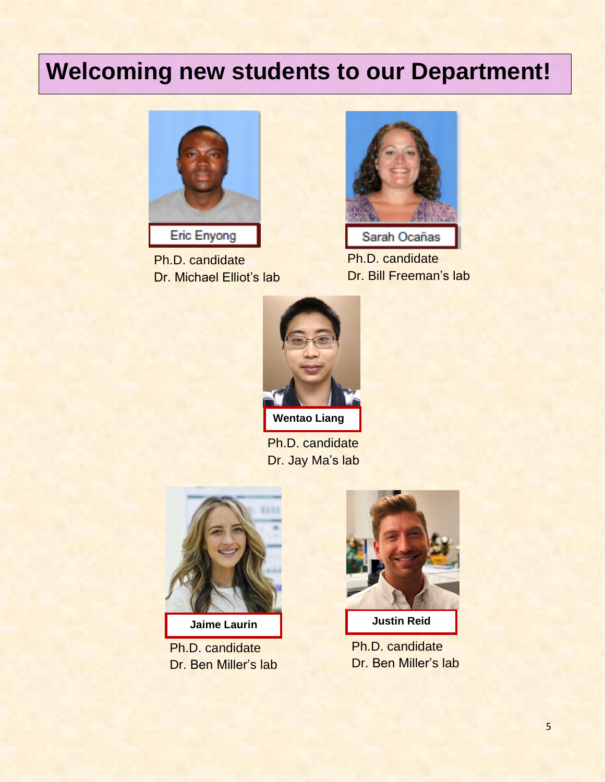## **Welcoming new students to our Department!**



Ph.D. candidate Dr. Michael Elliot's lab



Ph.D. candidate Dr. Bill Freeman's lab



Ph.D. candidate Dr. Jay Ma's lab



Ph.D. candidate Dr. Ben Miller's lab



**Jaime Laurin Contract Contract Contract Contract Contract Contract Contract Contract Contract Contract Contract Contract Contract Contract Contract Contract Contract Contract Contract Contract Contract Contract Contract** 

Ph.D. candidate Dr. Ben Miller's lab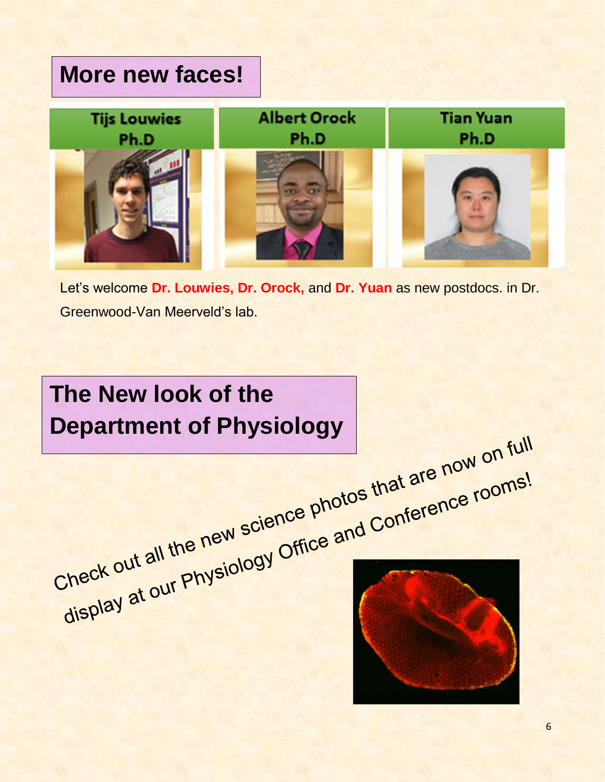## **More new faces!**



Let's welcome **Dr. Louwies, Dr. Orock,** and **Dr. Yuan** as new postdocs. in Dr. Greenwood-Van Meerveld's lab.

# **The New look of the Department of Physiology**<br> **Check out all the new science photos that are now on full**<br>
Check out all the new science photos that are now on full display at our Physiology Office and Conference rooms!